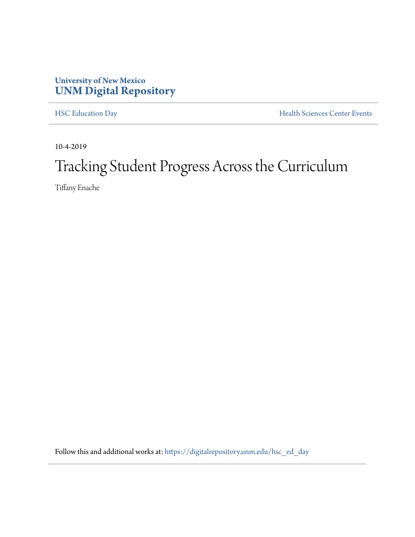## **University of New Mexico [UNM Digital Repository](https://digitalrepository.unm.edu/?utm_source=digitalrepository.unm.edu%2Fhsc_ed_day%2F40&utm_medium=PDF&utm_campaign=PDFCoverPages)**

[HSC Education Day](https://digitalrepository.unm.edu/hsc_ed_day?utm_source=digitalrepository.unm.edu%2Fhsc_ed_day%2F40&utm_medium=PDF&utm_campaign=PDFCoverPages) **[Health Sciences Center Events](https://digitalrepository.unm.edu/hsc_events?utm_source=digitalrepository.unm.edu%2Fhsc_ed_day%2F40&utm_medium=PDF&utm_campaign=PDFCoverPages)** 

10-4-2019

## Tracking Student Progress Across the Curriculum

Tiffany Enache

Follow this and additional works at: [https://digitalrepository.unm.edu/hsc\\_ed\\_day](https://digitalrepository.unm.edu/hsc_ed_day?utm_source=digitalrepository.unm.edu%2Fhsc_ed_day%2F40&utm_medium=PDF&utm_campaign=PDFCoverPages)